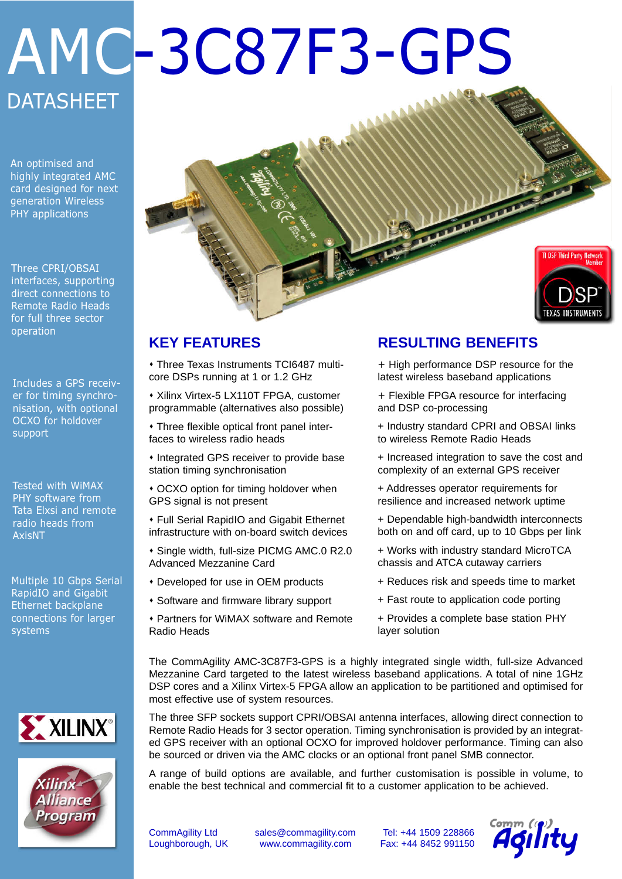# AMC-3C87F3-GPS **DATASHEET**

An optimised and highly integrated AMC card designed for next generation Wireless PHY applications

Three CPRI/OBSAI interfaces, supporting direct connections to Remote Radio Heads for full three sector operation

Includes a GPS receiver for timing synchronisation, with optional OCXO for holdover support

Tested with WiMAX PHY software from Tata Elxsi and remote radio heads from AxisNT

Multiple 10 Gbps Serial RapidIO and Gigabit Ethernet backplane connections for larger systems







## **KEY FEATURES**

• Three Texas Instruments TCI6487 multicore DSPs running at 1 or 1.2 GHz

\* Xilinx Virtex-5 LX110T FPGA, customer programmable (alternatives also possible)

• Three flexible optical front panel interfaces to wireless radio heads

 $*$  Integrated GPS receiver to provide base station timing synchronisation

• OCXO option for timing holdover when GPS signal is not present

**\* Full Serial RapidIO and Gigabit Ethernet** infrastructure with on-board switch devices

 $\cdot$  Single width, full-size PICMG AMC.0 R2.0 Advanced Mezzanine Card

- \* Developed for use in OEM products
- **\* Software and firmware library support**
- Partners for WiMAX software and Remote Radio Heads

## **RESULTING BENEFITS**

+ High performance DSP resource for the latest wireless baseband applications

+ Flexible FPGA resource for interfacing and DSP co-processing

+ Industry standard CPRI and OBSAI links to wireless Remote Radio Heads

+ Increased integration to save the cost and complexity of an external GPS receiver

+ Addresses operator requirements for resilience and increased network uptime

+ Dependable high-bandwidth interconnects both on and off card, up to 10 Gbps per link

+ Works with industry standard MicroTCA chassis and ATCA cutaway carriers

- + Reduces risk and speeds time to market
- + Fast route to application code porting
- + Provides a complete base station PHY layer solution

The CommAgility AMC-3C87F3-GPS is a highly integrated single width, full-size Advanced Mezzanine Card targeted to the latest wireless baseband applications. A total of nine 1GHz DSP cores and a Xilinx Virtex-5 FPGA allow an application to be partitioned and optimised for most effective use of system resources.

The three SFP sockets support CPRI/OBSAI antenna interfaces, allowing direct connection to Remote Radio Heads for 3 sector operation. Timing synchronisation is provided by an integrated GPS receiver with an optional OCXO for improved holdover performance. Timing can also be sourced or driven via the AMC clocks or an optional front panel SMB connector.

A range of build options are available, and further customisation is possible in volume, to enable the best technical and commercial fit to a customer application to be achieved.

CommAgility Ltd sales@commagility.com Tel: +44 1509 228866 Loughborough, UK www.commagility.com Fax: +44 8452 991150